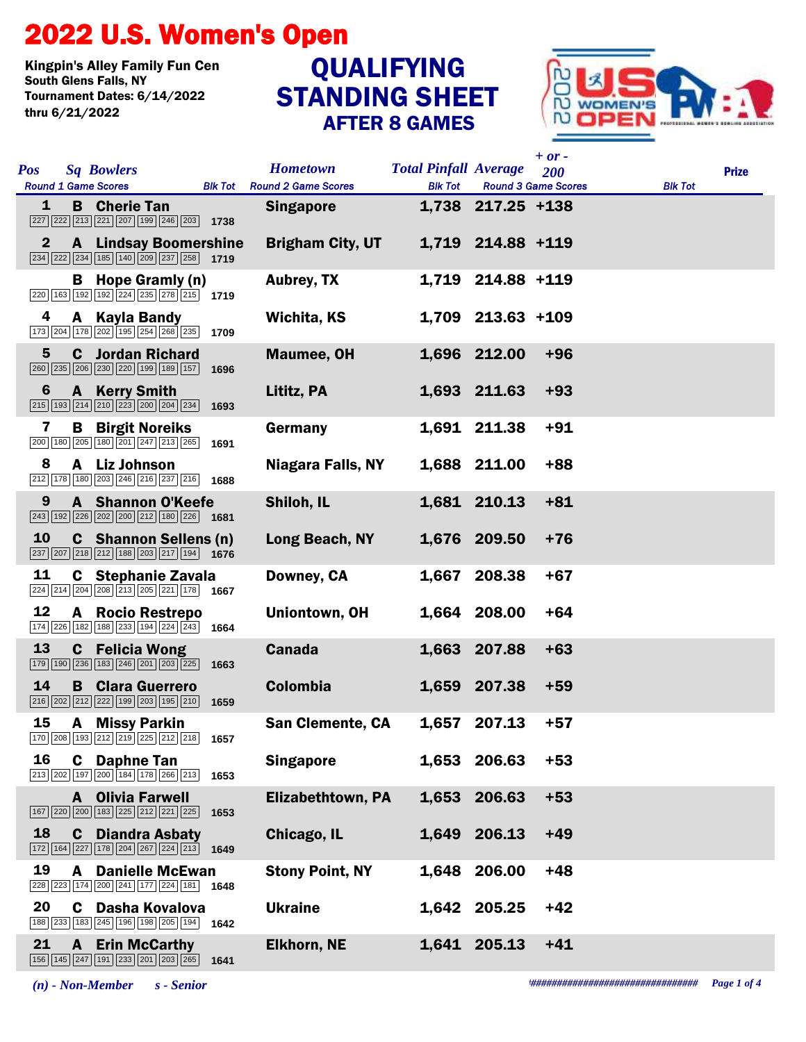## 2022 U.S. Women's Open

Kingpin's Alley Family Fun Cen Tournament Dates: 6/14/2022 thru 6/21/2022

## STANDING SHEET AFTER 8 GAMES QUALIFYING



| <b>Sq Bowlers</b><br><b>Pos</b><br><b>Round 1 Game Scores</b><br><b>Blk Tot</b>                                                                                      | <b>Hometown</b><br><b>Round 2 Game Scores</b> | <b>Total Pinfall Average</b><br><b>Blk Tot</b> | $+$ or $-$<br>200<br><b>Round 3 Game Scores</b> | <b>Blk Tot</b> | <b>Prize</b> |
|----------------------------------------------------------------------------------------------------------------------------------------------------------------------|-----------------------------------------------|------------------------------------------------|-------------------------------------------------|----------------|--------------|
| <b>B</b> Cherie Tan<br>1<br>227 222 213 221 207 199 246 203<br>1738                                                                                                  | <b>Singapore</b>                              |                                                | 1,738 217.25 +138                               |                |              |
| <b>A</b> Lindsay Boomershine<br>$\mathbf{2}$<br>$\boxed{234}$ $\boxed{222}$ $\boxed{234}$ $\boxed{185}$ $\boxed{140}$ $\boxed{209}$ $\boxed{237}$ $\boxed{258}$ 1719 | <b>Brigham City, UT</b>                       |                                                | 1,719 214.88 +119                               |                |              |
| Hope Gramly (n)<br>в<br>$\boxed{220}$ 163 192 192 224 235 278 215 1719                                                                                               | <b>Aubrey, TX</b>                             |                                                | 1,719 214.88 +119                               |                |              |
| 4<br>A Kayla Bandy<br>173 204 178 202 195 254 268 235<br>1709                                                                                                        | Wichita, KS                                   |                                                | 1,709 213.63 +109                               |                |              |
| 5<br><b>C</b> Jordan Richard<br>260 235 206 230 220 199 189 157<br>1696                                                                                              | <b>Maumee, OH</b>                             |                                                | 1,696 212.00<br>$+96$                           |                |              |
| 6<br><b>A</b> Kerry Smith<br>$\boxed{215}$ $\boxed{193}$ $\boxed{214}$ $\boxed{210}$ $\boxed{223}$ $\boxed{200}$ $\boxed{204}$ $\boxed{234}$<br>1693                 | Lititz, PA                                    |                                                | 1,693 211.63<br>$+93$                           |                |              |
| 7<br>В<br><b>Birgit Noreiks</b><br>200 180 205 180 201 247 213 265<br>1691                                                                                           | Germany                                       |                                                | $+91$<br>1,691 211.38                           |                |              |
| 8<br>A Liz Johnson<br>212 178 180 203 246 216 237 216<br>1688                                                                                                        | <b>Niagara Falls, NY</b>                      |                                                | 1,688 211.00<br>$+88$                           |                |              |
| <b>A</b> Shannon O'Keefe<br>9<br>243 192 226 202 200 212 180 226<br>1681                                                                                             | Shiloh, IL                                    |                                                | $+81$<br>1,681 210.13                           |                |              |
| 10<br><b>C</b> Shannon Sellens (n)<br>237 207 218 212 188 203 217 194 1676                                                                                           | Long Beach, NY                                |                                                | 1,676 209.50<br>$+76$                           |                |              |
| 11<br><b>C</b> Stephanie Zavala<br>$\sqrt{224}\sqrt{214}\sqrt{204}\sqrt{208}\sqrt{213}\sqrt{205}\sqrt{221}\sqrt{178}$ 1667                                           | Downey, CA                                    |                                                | $+67$<br>1,667 208.38                           |                |              |
| 12<br><b>Rocio Restrepo</b><br>A<br>$\boxed{174}$ $\boxed{226}$ $\boxed{182}$ $\boxed{188}$ $\boxed{233}$ $\boxed{194}$ $\boxed{224}$ $\boxed{243}$ 1664             | <b>Uniontown, OH</b>                          |                                                | 1,664 208.00<br>$+64$                           |                |              |
| 13<br><b>C</b> Felicia Wong<br>179 190 236 183 246 201 203 225<br>1663                                                                                               | <b>Canada</b>                                 |                                                | 1,663 207.88<br>$+63$                           |                |              |
| 14<br>B<br><b>Clara Guerrero</b><br>$\boxed{216}\boxed{202}\boxed{212}\boxed{222}\boxed{199}\boxed{203}\boxed{195}\boxed{210}$<br>1659                               | <b>Colombia</b>                               |                                                | 1,659 207.38<br>$+59$                           |                |              |
| 15<br><b>A</b> Missy Parkin<br>170 208 193 212 219 225 212 218<br>1657                                                                                               | <b>San Clemente, CA</b>                       |                                                | $+57$<br>1,657 207.13                           |                |              |
| 16<br>C Daphne Tan<br>$\boxed{213}$ $\boxed{202}$ $\boxed{197}$ $\boxed{200}$ $\boxed{184}$ $\boxed{178}$ $\boxed{266}$ $\boxed{213}$<br>1653                        | <b>Singapore</b>                              |                                                | 1,653 206.63<br>$+53$                           |                |              |
| <b>A</b> Olivia Farwell<br>[167   220   200   183   225   212   221   225<br>1653                                                                                    | <b>Elizabethtown, PA</b>                      |                                                | 1,653 206.63<br>$+53$                           |                |              |
| 18<br><b>Diandra Asbaty</b><br>C.<br>$\boxed{172}$ $\boxed{164}$ $\boxed{227}$ $\boxed{178}$ $\boxed{204}$ $\boxed{267}$ $\boxed{224}$ $\boxed{213}$ <b>1649</b>     | Chicago, IL                                   |                                                | $+49$<br>1,649 206.13                           |                |              |
| 19<br><b>Danielle McEwan</b><br>A<br>228 223 174 200 241 177 224 181<br>1648                                                                                         | <b>Stony Point, NY</b>                        | 1,648                                          | $+48$<br>206.00                                 |                |              |
| 20<br>C Dasha Kovalova<br>188 233 183 245 196 198 205 194<br>1642                                                                                                    | <b>Ukraine</b>                                |                                                | 1,642 205.25<br>$+42$                           |                |              |
| 21<br><b>Erin McCarthy</b><br>$\mathbf{A}$<br>[156   145   247   191   233   201   203   265  <br>1641                                                               | <b>Elkhorn, NE</b>                            |                                                | 1,641 205.13<br>$+41$                           |                |              |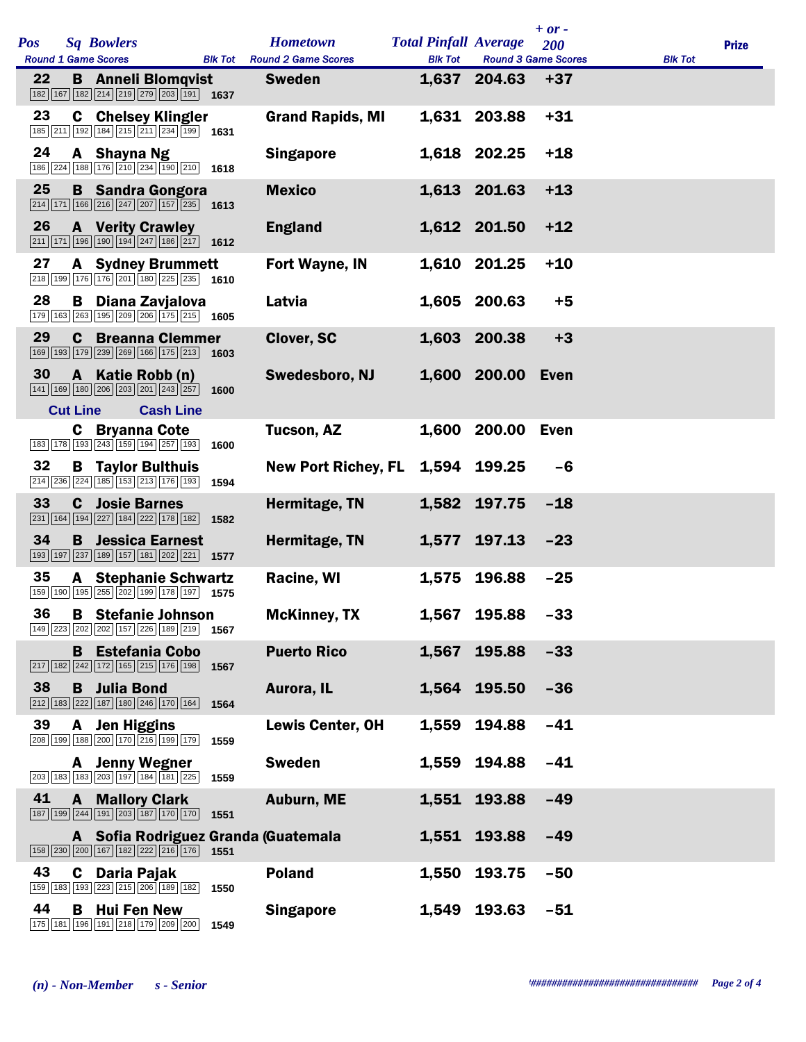| <b>Pos</b> |                 | <b>Sq Bowlers</b>                                                                                                                                        |                  |      | <b>Hometown</b>                     | <b>Total Pinfall Average</b> |              | $+$ or -<br>200            |                | <b>Prize</b> |
|------------|-----------------|----------------------------------------------------------------------------------------------------------------------------------------------------------|------------------|------|-------------------------------------|------------------------------|--------------|----------------------------|----------------|--------------|
|            |                 | <b>Round 1 Game Scores</b>                                                                                                                               |                  |      | <b>Blk Tot</b> Round 2 Game Scores  | <b>Blk Tot</b>               |              | <b>Round 3 Game Scores</b> | <b>Blk Tot</b> |              |
| 22         |                 | <b>B</b> Anneli Blomqvist<br>$\boxed{182}$ $\boxed{167}$ $\boxed{182}$ $\boxed{214}$ $\boxed{219}$ $\boxed{279}$ $\boxed{203}$ $\boxed{191}$ <b>1637</b> |                  |      | <b>Sweden</b>                       |                              | 1,637 204.63 | $+37$                      |                |              |
| 23         |                 | <b>C</b> Chelsey Klingler<br>$\boxed{185}\boxed{211}\boxed{192}\boxed{184}\boxed{215}\boxed{211}\boxed{234}\boxed{199}$ 1631                             |                  |      | <b>Grand Rapids, MI</b>             |                              | 1,631 203.88 | $+31$                      |                |              |
| 24         |                 | A Shayna Ng<br>$\boxed{186}\boxed{224}\boxed{188}\boxed{176}\boxed{210}\boxed{234}\boxed{190}\boxed{210}$ 1618                                           |                  |      | <b>Singapore</b>                    |                              | 1,618 202.25 | $+18$                      |                |              |
| 25         |                 | <b>B</b> Sandra Gongora<br>$\boxed{214}$ 171 166 216 247 207 157 235 1613                                                                                |                  |      | <b>Mexico</b>                       |                              | 1,613 201.63 | $+13$                      |                |              |
| 26         |                 | <b>A</b> Verity Crawley<br>$\boxed{211}\boxed{171}\boxed{196}\boxed{190}\boxed{194}\boxed{247}\boxed{186}\boxed{217}$                                    |                  | 1612 | <b>England</b>                      |                              | 1,612 201.50 | $+12$                      |                |              |
| 27         |                 | <b>A</b> Sydney Brummett<br>$\boxed{218}$ 199 176 176 201 180 225 235 1610                                                                               |                  |      | Fort Wayne, IN                      |                              | 1,610 201.25 | $+10$                      |                |              |
| 28         | B               | Diana Zavjalova<br>179 163 263 195 209 206 175 215 1605                                                                                                  |                  |      | Latvia                              |                              | 1,605 200.63 | $+5$                       |                |              |
| 29         | C               | <b>Breanna Clemmer</b><br>169 193 179 239 269 166 175 213                                                                                                |                  | 1603 | Clover, SC                          |                              | 1,603 200.38 | $+3$                       |                |              |
| 30         |                 | A Katie Robb (n)<br>141 169 180 206 203 201 243 257                                                                                                      |                  | 1600 | Swedesboro, NJ                      |                              | 1,600 200.00 | Even                       |                |              |
|            | <b>Cut Line</b> |                                                                                                                                                          | <b>Cash Line</b> |      |                                     |                              |              |                            |                |              |
|            | C               | <b>Bryanna Cote</b><br>183 178 193 243 159 194 257 193                                                                                                   |                  | 1600 | Tucson, AZ                          |                              | 1,600 200.00 | <b>Even</b>                |                |              |
| 32         |                 | <b>B</b> Taylor Bulthuis<br>214 236 224 185 153 213 176 193                                                                                              |                  | 1594 | <b>New Port Richey, FL</b>          |                              | 1,594 199.25 | $-6$                       |                |              |
| 33         | C               | <b>Josie Barnes</b><br>231 164 194 227 184 222 178 182                                                                                                   |                  | 1582 | Hermitage, TN                       |                              | 1,582 197.75 | $-18$                      |                |              |
| 34         | B               | <b>Jessica Earnest</b><br>193 197 237 189 157 181 202 221 157                                                                                            |                  |      | Hermitage, TN                       |                              | 1,577 197.13 | $-23$                      |                |              |
| 35         |                 | <b>A</b> Stephanie Schwartz<br>159 190 195 255 202 199 178 197 1575                                                                                      |                  |      | Racine, WI                          |                              | 1,575 196.88 | $-25$                      |                |              |
|            |                 | 36 B Stefanie Johnson<br>149 223 202 202 157 226 189 219                                                                                                 |                  | 1567 | <b>McKinney, TX</b>                 |                              | 1,567 195.88 | $-33$                      |                |              |
|            |                 | <b>B</b> Estefania Cobo<br>217   182   242   172   165   215   176   198                                                                                 |                  | 1567 | <b>Puerto Rico</b>                  | 1,567                        | 195.88       | $-33$                      |                |              |
| 38         |                 | <b>B</b> Julia Bond<br>212 183 222 187 180 246 170 164                                                                                                   |                  | 1564 | Aurora, IL                          |                              | 1,564 195.50 | $-36$                      |                |              |
| 39         | A               | <b>Jen Higgins</b><br>208 199 188 200 170 216 199 179                                                                                                    |                  | 1559 | Lewis Center, OH                    | 1,559                        | 194.88       | $-41$                      |                |              |
|            |                 | <b>A</b> Jenny Wegner<br>203 183 183 203 197 184 181 225                                                                                                 |                  | 1559 | <b>Sweden</b>                       | 1,559                        | 194.88       | $-41$                      |                |              |
| 41         |                 | <b>A</b> Mallory Clark<br>187 199 244 191 203 187 170 170                                                                                                |                  | 1551 | <b>Auburn, ME</b>                   | 1,551                        | 193.88       | $-49$                      |                |              |
|            |                 | 158 230 200 167 182 222 216 176                                                                                                                          |                  | 1551 | A Sofia Rodriguez Granda (Guatemala |                              | 1,551 193.88 | $-49$                      |                |              |
| 43         |                 | C Daria Pajak<br>159 183 193 223 215 206 189 182                                                                                                         |                  | 1550 | <b>Poland</b>                       | 1,550                        | 193.75       | $-50$                      |                |              |
| 44         | В               | <b>Hui Fen New</b><br>175 181 196 191 218 179 209 200                                                                                                    |                  | 1549 | <b>Singapore</b>                    |                              | 1,549 193.63 | $-51$                      |                |              |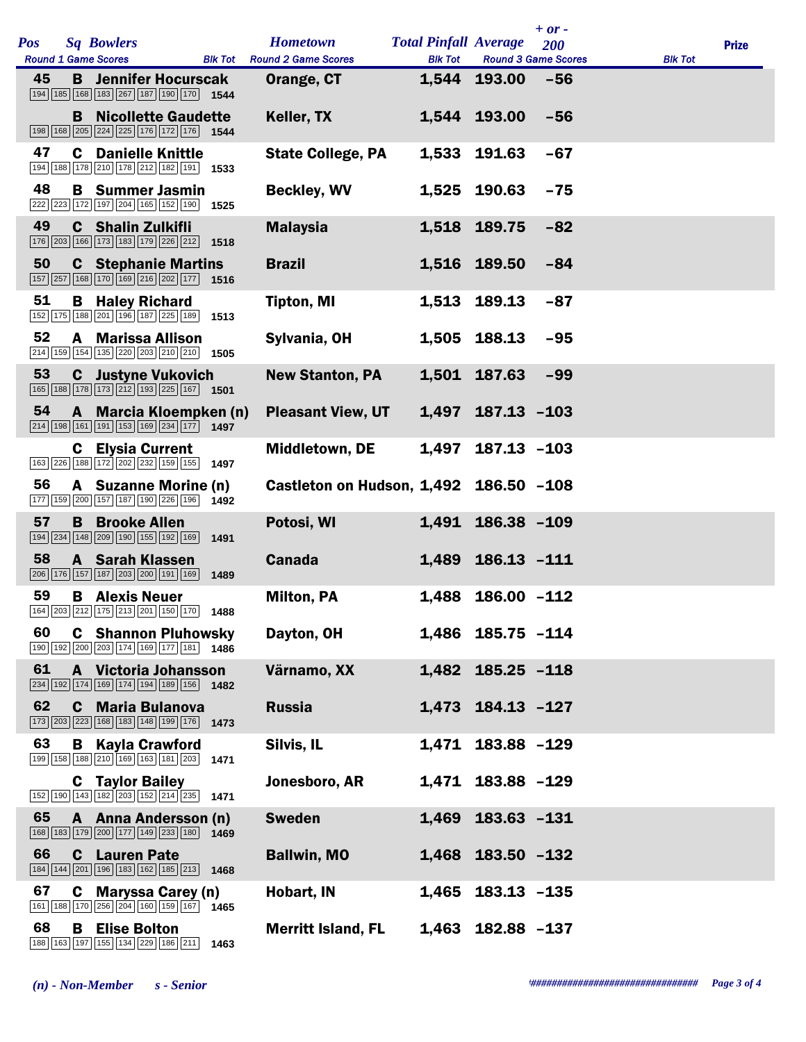| <b>Pos</b> |   | <b>Sq Bowlers</b><br><b>Round 1 Game Scores</b>                                                                                                        |      | <b>Hometown</b>                                  |                | <b>Total Pinfall Average</b> | $+$ or $-$<br>200<br><b>Round 3 Game Scores</b> |                | <b>Prize</b> |
|------------|---|--------------------------------------------------------------------------------------------------------------------------------------------------------|------|--------------------------------------------------|----------------|------------------------------|-------------------------------------------------|----------------|--------------|
| 45         |   | <b>B</b> Jennifer Hocurscak<br>194 185 168 183 267 187 190 170 1544                                                                                    |      | <b>Blk Tot</b> Round 2 Game Scores<br>Orange, CT | <b>Blk Tot</b> | 1,544 193.00                 | $-56$                                           | <b>Blk Tot</b> |              |
|            |   | <b>B</b> Nicollette Gaudette<br>198 168 205 224 225 176 172 176 1544                                                                                   |      | Keller, TX                                       |                | 1,544 193.00                 | $-56$                                           |                |              |
| 47         |   | <b>C</b> Danielle Knittle<br>194 188 178 210 178 212 182 191 1533                                                                                      |      | <b>State College, PA</b>                         |                | 1,533 191.63                 | $-67$                                           |                |              |
| 48         |   | <b>B</b> Summer Jasmin<br>222 223 172 197 204 165 152 190 1525                                                                                         |      | <b>Beckley, WV</b>                               |                | 1,525 190.63                 | $-75$                                           |                |              |
| 49         |   | <b>C</b> Shalin Zulkifli<br>176 203 166 173 183 179 226 212                                                                                            | 1518 | <b>Malaysia</b>                                  |                | 1,518 189.75                 | $-82$                                           |                |              |
| 50         |   | <b>C</b> Stephanie Martins<br>157 257 168 170 169 216 202 177 1516                                                                                     |      | <b>Brazil</b>                                    |                | 1,516 189.50                 | $-84$                                           |                |              |
| 51         |   | <b>B</b> Haley Richard<br>152 175 188 201 196 187 225 189 1513                                                                                         |      | <b>Tipton, MI</b>                                |                | 1,513 189.13                 | $-87$                                           |                |              |
| 52         | A | <b>Marissa Allison</b><br>$\boxed{214}$ $\boxed{159}$ $\boxed{154}$ $\boxed{135}$ $\boxed{220}$ $\boxed{203}$ $\boxed{210}$ $\boxed{210}$ <b>1505</b>  |      | Sylvania, OH                                     |                | 1,505 188.13                 | $-95$                                           |                |              |
| 53         |   | <b>C</b> Justyne Vukovich<br>$\boxed{165}$ $\boxed{188}$ $\boxed{178}$ $\boxed{173}$ $\boxed{212}$ $\boxed{193}$ $\boxed{225}$ $\boxed{167}$ 1501      |      | <b>New Stanton, PA</b>                           |                | 1,501 187.63                 | $-99$                                           |                |              |
| 54         |   | A Marcia Kloempken (n)<br>$\boxed{214}$ 198 161 191 153 169 234 177 1497                                                                               |      | <b>Pleasant View, UT</b>                         |                | 1,497 187.13 -103            |                                                 |                |              |
|            | C | <b>Elysia Current</b><br>$\boxed{163}\boxed{226}\boxed{188}\boxed{172}\boxed{202}\boxed{232}\boxed{159}\boxed{155}$                                    | 1497 | <b>Middletown, DE</b>                            | 1,497          | $187.13 - 103$               |                                                 |                |              |
| 56         |   | A Suzanne Morine (n)<br>177 159 200 157 187 190 226 196 1492                                                                                           |      | Castleton on Hudson, 1,492 186.50 -108           |                |                              |                                                 |                |              |
| 57         | B | <b>Brooke Allen</b><br>194   234   148   209   190   155   192   169                                                                                   | 1491 | Potosi, WI                                       |                | 1,491 186.38 -109            |                                                 |                |              |
| 58         |   | <b>A</b> Sarah Klassen<br>206 176 157 187 203 200 191 169                                                                                              | 1489 | <b>Canada</b>                                    |                | 1,489 186.13 -111            |                                                 |                |              |
| 59         |   | <b>B</b> Alexis Neuer<br>164 203 212 175 213 201 150 170 1488                                                                                          |      | <b>Milton, PA</b>                                |                | 1,488 186.00 -112            |                                                 |                |              |
| 60         |   | <b>C</b> Shannon Pluhowsky<br>190 192 200 203 174 169 177 181 1486                                                                                     |      | Dayton, OH                                       |                | 1,486 185.75 -114            |                                                 |                |              |
| 61         |   | A Victoria Johansson<br>234 192 174 169 174 194 189 156                                                                                                | 1482 | Värnamo, XX                                      |                | 1,482 185.25 -118            |                                                 |                |              |
| 62         | C | <b>Maria Bulanova</b><br>173 203 223 168 183 148 199 176 1473                                                                                          |      | <b>Russia</b>                                    |                | 1,473 184.13 -127            |                                                 |                |              |
| 63         |   | <b>B</b> Kayla Crawford<br>$\boxed{199}$ $\boxed{158}$ $\boxed{188}$ $\boxed{210}$ $\boxed{169}$ $\boxed{163}$ $\boxed{181}$ $\boxed{203}$ <b>1471</b> |      | Silvis, IL                                       | 1,471          | 183.88 -129                  |                                                 |                |              |
|            |   | <b>C</b> Taylor Bailey<br>152 190 143 182 203 152 214 235                                                                                              | 1471 | Jonesboro, AR                                    |                | 1,471 183.88 -129            |                                                 |                |              |
| 65         |   | A Anna Andersson (n)<br>168 183 179 200 177 149 233 180                                                                                                | 1469 | <b>Sweden</b>                                    | 1,469          | $183.63 - 131$               |                                                 |                |              |
| 66         | C | <b>Lauren Pate</b><br>184 144 201 196 183 162 185 213                                                                                                  | 1468 | <b>Ballwin, MO</b>                               |                | 1,468 183.50 -132            |                                                 |                |              |
| 67         | C | <b>Maryssa Carey (n)</b><br>161 188 170 256 204 160 159 167                                                                                            | 1465 | Hobart, IN                                       |                | 1,465 183.13 -135            |                                                 |                |              |
| 68         | В | <b>Elise Bolton</b><br>188 163 197 155 134 229 186 211                                                                                                 | 1463 | <b>Merritt Island, FL</b>                        |                | 1,463 182.88 -137            |                                                 |                |              |